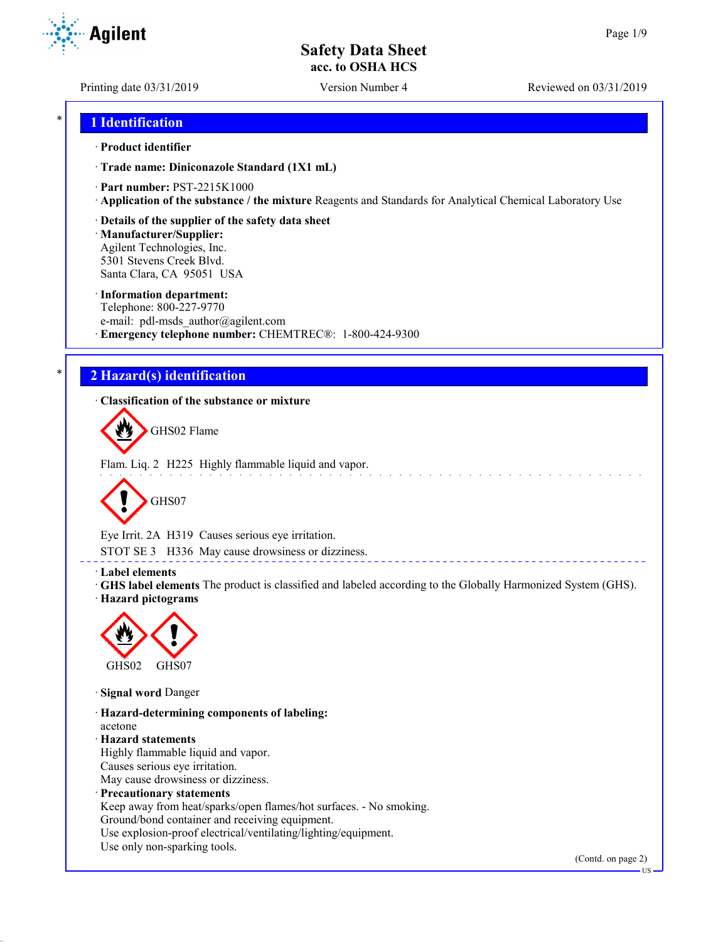Printing date 03/31/2019 Version Number 4 Reviewed on 03/31/2019

## \* **1 Identification**

### · **Product identifier**

· **Trade name: Diniconazole Standard (1X1 mL)**

- · **Part number:** PST-2215K1000
- · **Application of the substance / the mixture** Reagents and Standards for Analytical Chemical Laboratory Use
- · **Details of the supplier of the safety data sheet**

· **Manufacturer/Supplier:** Agilent Technologies, Inc. 5301 Stevens Creek Blvd. Santa Clara, CA 95051 USA

### · **Information department:**

Telephone: 800-227-9770 e-mail: pdl-msds author@agilent.com · **Emergency telephone number:** CHEMTREC®: 1-800-424-9300

# \* **2 Hazard(s) identification**

· **Classification of the substance or mixture**

GHS02 Flame

Flam. Liq. 2 H225 Highly flammable liquid and vapor.



Eye Irrit. 2A H319 Causes serious eye irritation.

STOT SE 3 H336 May cause drowsiness or dizziness.

### · **Label elements**

· **GHS label elements** The product is classified and labeled according to the Globally Harmonized System (GHS). · **Hazard pictograms**

<u>. . . . . . . . . . . . . .</u>



· **Signal word** Danger

· **Hazard-determining components of labeling:** acetone · **Hazard statements** Highly flammable liquid and vapor. Causes serious eye irritation. May cause drowsiness or dizziness. · **Precautionary statements** Keep away from heat/sparks/open flames/hot surfaces. - No smoking. Ground/bond container and receiving equipment. Use explosion-proof electrical/ventilating/lighting/equipment. Use only non-sparking tools.

(Contd. on page 2)

US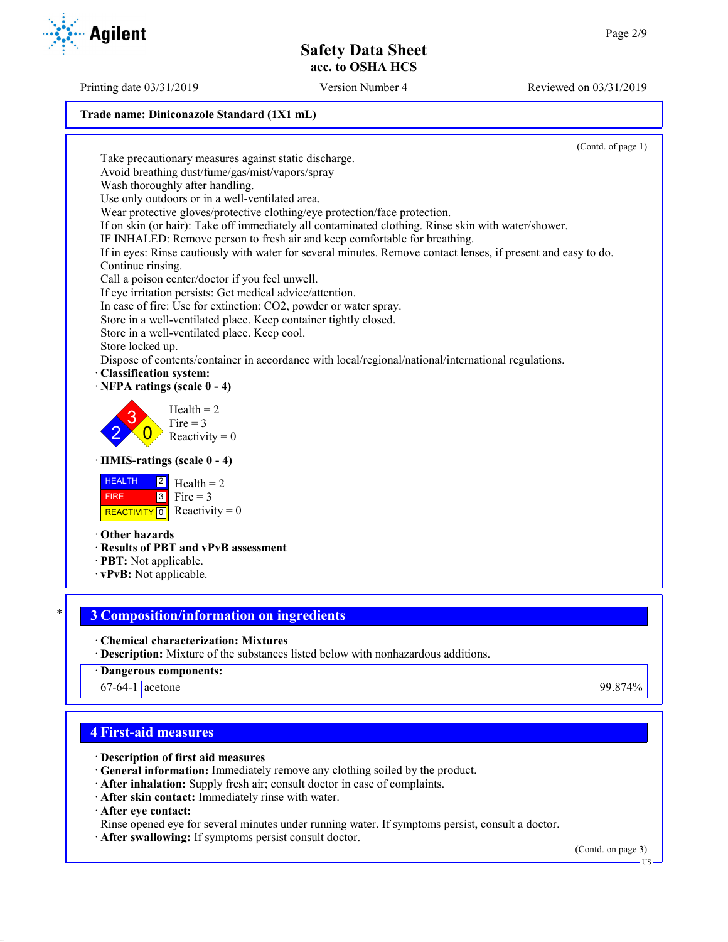**Trade name: Diniconazole Standard (1X1 mL)**

(Contd. of page 1) Take precautionary measures against static discharge. Avoid breathing dust/fume/gas/mist/vapors/spray Wash thoroughly after handling. Use only outdoors or in a well-ventilated area. Wear protective gloves/protective clothing/eye protection/face protection. If on skin (or hair): Take off immediately all contaminated clothing. Rinse skin with water/shower. IF INHALED: Remove person to fresh air and keep comfortable for breathing. If in eyes: Rinse cautiously with water for several minutes. Remove contact lenses, if present and easy to do. Continue rinsing. Call a poison center/doctor if you feel unwell. If eye irritation persists: Get medical advice/attention. In case of fire: Use for extinction: CO2, powder or water spray. Store in a well-ventilated place. Keep container tightly closed. Store in a well-ventilated place. Keep cool. Store locked up. Dispose of contents/container in accordance with local/regional/national/international regulations. · **Classification system:** · **NFPA ratings (scale 0 - 4)** 2 3  $\overline{0}$  $Health = 2$ Fire  $= 3$ Reactivity  $= 0$ · **HMIS-ratings (scale 0 - 4) HEALTH**  FIRE REACTIVITY  $\boxed{0}$  Reactivity = 0  $|2|$  $3$  Fire = 3  $Health = 2$ · **Other hazards** · **Results of PBT and vPvB assessment** · **PBT:** Not applicable. · **vPvB:** Not applicable. \* **3 Composition/information on ingredients** · **Chemical characterization: Mixtures** · **Description:** Mixture of the substances listed below with nonhazardous additions.

· **Dangerous components:**

67-64-1 acetone 99.874%

### **4 First-aid measures**

· **Description of first aid measures**

- · **General information:** Immediately remove any clothing soiled by the product.
- · **After inhalation:** Supply fresh air; consult doctor in case of complaints.
- · **After skin contact:** Immediately rinse with water.

· **After eye contact:**

- Rinse opened eye for several minutes under running water. If symptoms persist, consult a doctor.
- · **After swallowing:** If symptoms persist consult doctor.

(Contd. on page 3)

Printing date 03/31/2019 Version Number 4 Reviewed on 03/31/2019

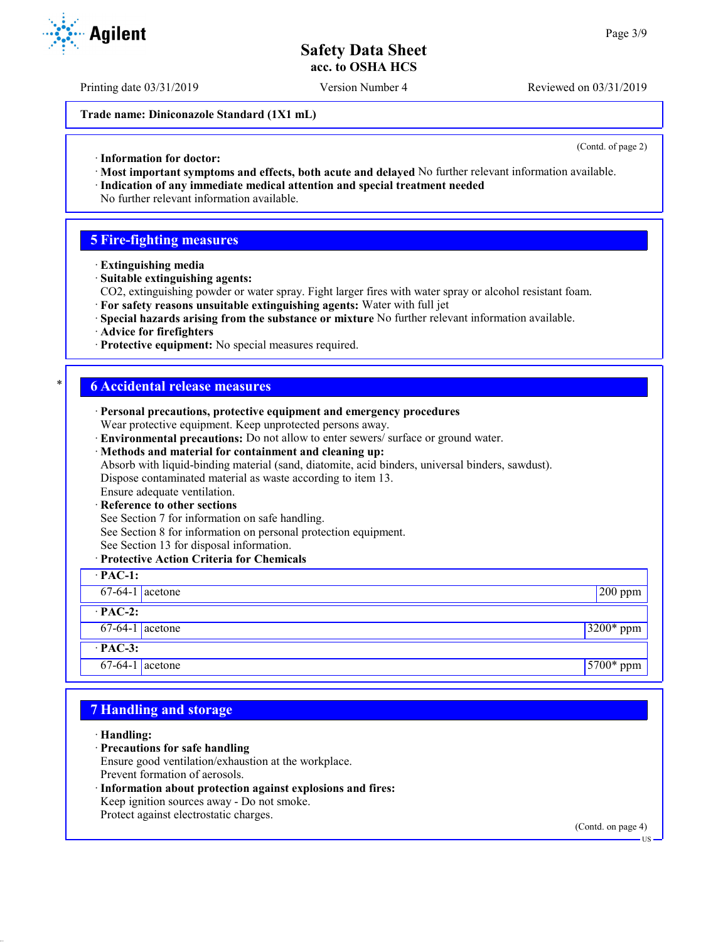Printing date 03/31/2019 Version Number 4 Reviewed on 03/31/2019

**Trade name: Diniconazole Standard (1X1 mL)**

(Contd. of page 2)

- · **Information for doctor:**
- · **Most important symptoms and effects, both acute and delayed** No further relevant information available.
- · **Indication of any immediate medical attention and special treatment needed** No further relevant information available.

### **5 Fire-fighting measures**

- · **Extinguishing media**
- · **Suitable extinguishing agents:**
- CO2, extinguishing powder or water spray. Fight larger fires with water spray or alcohol resistant foam.
- · **For safety reasons unsuitable extinguishing agents:** Water with full jet
- · **Special hazards arising from the substance or mixture** No further relevant information available.
- · **Advice for firefighters**
- · **Protective equipment:** No special measures required.

### \* **6 Accidental release measures**

- · **Personal precautions, protective equipment and emergency procedures** Wear protective equipment. Keep unprotected persons away.
- · **Environmental precautions:** Do not allow to enter sewers/ surface or ground water.
- · **Methods and material for containment and cleaning up:** Absorb with liquid-binding material (sand, diatomite, acid binders, universal binders, sawdust). Dispose contaminated material as waste according to item 13. Ensure adequate ventilation.

## **Reference to other sections**

See Section 7 for information on safe handling.

See Section 8 for information on personal protection equipment.

See Section 13 for disposal information.

### · **Protective Action Criteria for Chemicals**

| $\cdot$ PAC-1:    |  |             |  |
|-------------------|--|-------------|--|
| $67-64-1$ acetone |  | $200$ ppm   |  |
| $\cdot$ PAC-2:    |  |             |  |
| $67-64-1$ acetone |  | $3200*$ ppm |  |
| $\cdot$ PAC-3:    |  |             |  |
| $67-64-1$ acetone |  | $5700*$ ppm |  |

# **7 Handling and storage**

### · **Handling:**

- · **Precautions for safe handling**
- Ensure good ventilation/exhaustion at the workplace. Prevent formation of aerosols.
- Information about protection against explosions and fires: Keep ignition sources away - Do not smoke. Protect against electrostatic charges.

(Contd. on page 4)

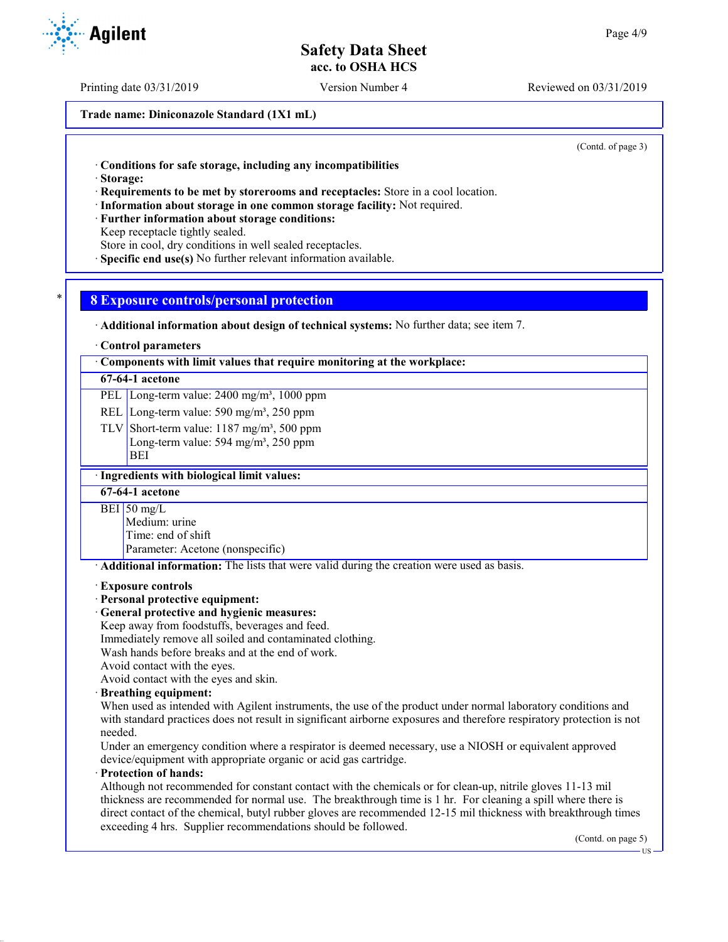Printing date 03/31/2019 Version Number 4 Reviewed on 03/31/2019

**Trade name: Diniconazole Standard (1X1 mL)**

(Contd. of page 3)

· **Conditions for safe storage, including any incompatibilities**

· **Storage:**

· **Requirements to be met by storerooms and receptacles:** Store in a cool location.

- · **Information about storage in one common storage facility:** Not required.
- · **Further information about storage conditions:**

Keep receptacle tightly sealed.

Store in cool, dry conditions in well sealed receptacles.

· **Specific end use(s)** No further relevant information available.

### \* **8 Exposure controls/personal protection**

· **Additional information about design of technical systems:** No further data; see item 7.

#### · **Control parameters**

· **Components with limit values that require monitoring at the workplace:**

#### **67-64-1 acetone**

PEL Long-term value: 2400 mg/m<sup>3</sup>, 1000 ppm

REL Long-term value: 590 mg/m<sup>3</sup>, 250 ppm

TLV Short-term value:  $1187 \text{ mg/m}^3$ , 500 ppm Long-term value:  $594 \text{ mg/m}^3$ ,  $250 \text{ ppm}$ BEI

### · **Ingredients with biological limit values:**

### **67-64-1 acetone**

 $BEI$  50 mg/L

Medium: urine Time: end of shift

Parameter: Acetone (nonspecific)

· **Additional information:** The lists that were valid during the creation were used as basis.

#### · **Exposure controls**

· **Personal protective equipment:**

### · **General protective and hygienic measures:**

Keep away from foodstuffs, beverages and feed.

Immediately remove all soiled and contaminated clothing.

Wash hands before breaks and at the end of work.

Avoid contact with the eyes.

Avoid contact with the eyes and skin.

· **Breathing equipment:**

When used as intended with Agilent instruments, the use of the product under normal laboratory conditions and with standard practices does not result in significant airborne exposures and therefore respiratory protection is not needed.

Under an emergency condition where a respirator is deemed necessary, use a NIOSH or equivalent approved device/equipment with appropriate organic or acid gas cartridge.

### · **Protection of hands:**

Although not recommended for constant contact with the chemicals or for clean-up, nitrile gloves 11-13 mil thickness are recommended for normal use. The breakthrough time is 1 hr. For cleaning a spill where there is direct contact of the chemical, butyl rubber gloves are recommended 12-15 mil thickness with breakthrough times exceeding 4 hrs. Supplier recommendations should be followed.

(Contd. on page 5)

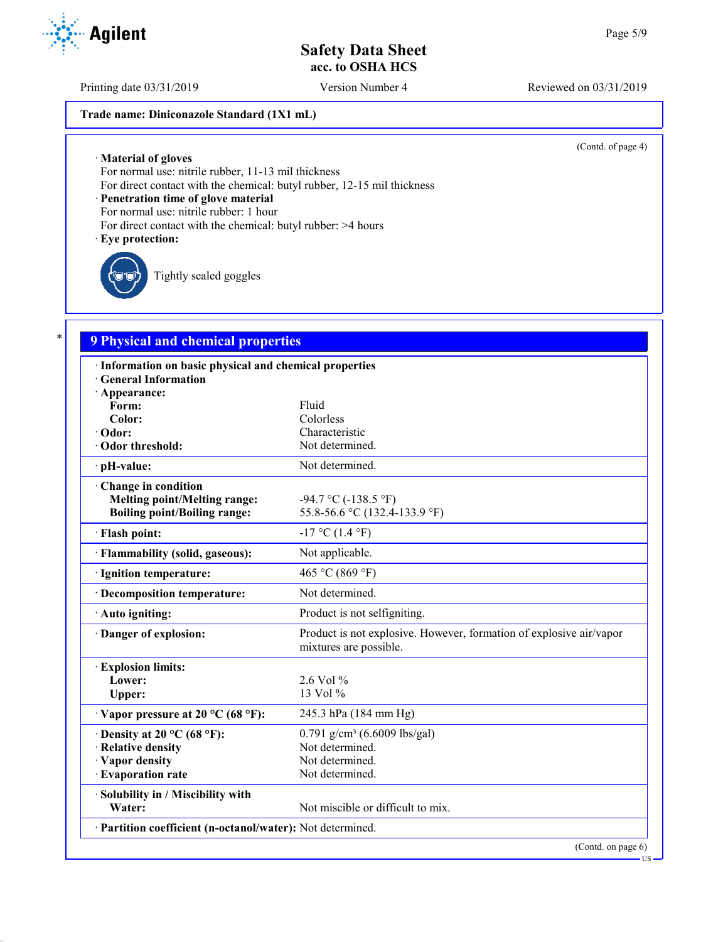Printing date 03/31/2019 Version Number 4 Reviewed on 03/31/2019

### **Trade name: Diniconazole Standard (1X1 mL)**

(Contd. of page 4)

· **Material of gloves**

For normal use: nitrile rubber, 11-13 mil thickness

For direct contact with the chemical: butyl rubber, 12-15 mil thickness

· **Penetration time of glove material**

For normal use: nitrile rubber: 1 hour

For direct contact with the chemical: butyl rubber: >4 hours

### · **Eye protection:**

Tightly sealed goggles

# \* **9 Physical and chemical properties**

| · Information on basic physical and chemical properties    |                                                                                               |
|------------------------------------------------------------|-----------------------------------------------------------------------------------------------|
| <b>General Information</b>                                 |                                                                                               |
| · Appearance:                                              |                                                                                               |
| Form:                                                      | Fluid                                                                                         |
| Color:                                                     | Colorless                                                                                     |
| · Odor:                                                    | Characteristic                                                                                |
| · Odor threshold:                                          | Not determined.                                                                               |
| · pH-value:                                                | Not determined.                                                                               |
| Change in condition<br><b>Melting point/Melting range:</b> | -94.7 °C (-138.5 °F)                                                                          |
| <b>Boiling point/Boiling range:</b>                        | 55.8-56.6 °C (132.4-133.9 °F)                                                                 |
| · Flash point:                                             | $-17$ °C (1.4 °F)                                                                             |
| · Flammability (solid, gaseous):                           | Not applicable.                                                                               |
| · Ignition temperature:                                    | 465 °C (869 °F)                                                                               |
| · Decomposition temperature:                               | Not determined.                                                                               |
| · Auto igniting:                                           | Product is not selfigniting.                                                                  |
| Danger of explosion:                                       | Product is not explosive. However, formation of explosive air/vapor<br>mixtures are possible. |
| <b>Explosion limits:</b>                                   |                                                                                               |
| Lower:                                                     | 2.6 Vol %                                                                                     |
| Upper:                                                     | 13 Vol %                                                                                      |
| $\cdot$ Vapor pressure at 20 °C (68 °F):                   | 245.3 hPa (184 mm Hg)                                                                         |
| $\cdot$ Density at 20 °C (68 °F):                          | 0.791 g/cm <sup>3</sup> (6.6009 lbs/gal)                                                      |
| · Relative density                                         | Not determined.                                                                               |
| · Vapor density                                            | Not determined.                                                                               |
| · Evaporation rate                                         | Not determined.                                                                               |
| · Solubility in / Miscibility with                         |                                                                                               |
| Water:                                                     | Not miscible or difficult to mix.                                                             |
| · Partition coefficient (n-octanol/water): Not determined. |                                                                                               |
|                                                            | (Contd. on page 6)                                                                            |

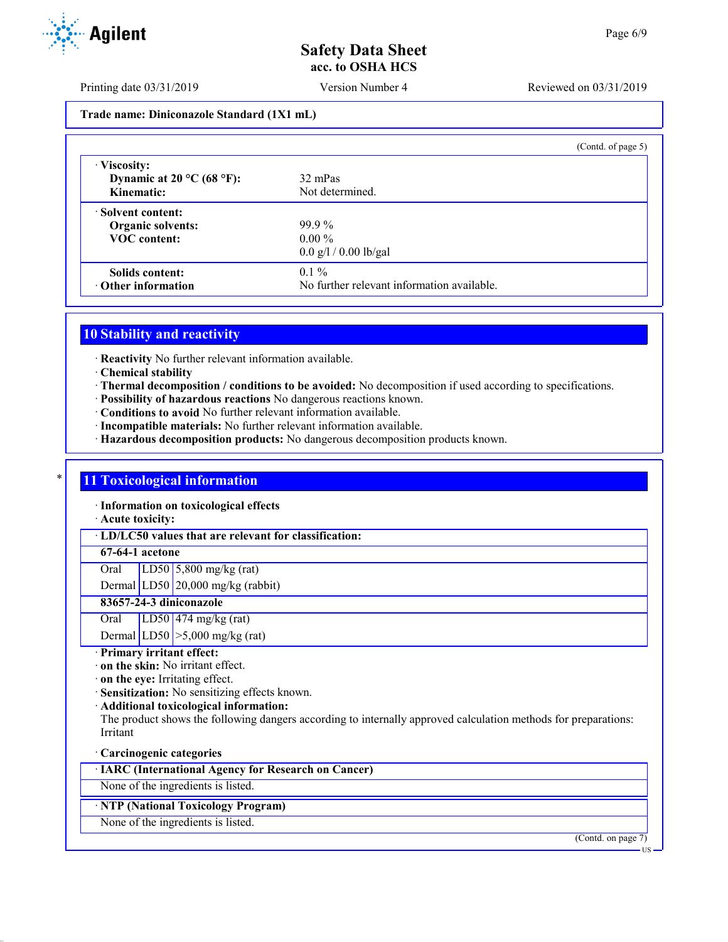Printing date 03/31/2019 Version Number 4 Reviewed on 03/31/2019

**Trade name: Diniconazole Standard (1X1 mL)**

|                                    | (Contd. of page 5)                         |
|------------------------------------|--------------------------------------------|
| · Viscosity:                       |                                            |
| Dynamic at $20^{\circ}$ C (68 °F): | 32 mPas                                    |
| Kinematic:                         | Not determined.                            |
| Solvent content:                   |                                            |
| Organic solvents:                  | $99.9\%$                                   |
| <b>VOC</b> content:                | $0.00\%$                                   |
|                                    | $0.0$ g/l / 0.00 lb/gal                    |
| Solids content:                    | $0.1\%$                                    |
| Other information                  | No further relevant information available. |

# **10 Stability and reactivity**

· **Reactivity** No further relevant information available.

- · **Chemical stability**
- · **Thermal decomposition / conditions to be avoided:** No decomposition if used according to specifications.
- · **Possibility of hazardous reactions** No dangerous reactions known.
- · **Conditions to avoid** No further relevant information available.
- · **Incompatible materials:** No further relevant information available.
- · **Hazardous decomposition products:** No dangerous decomposition products known.

### \* **11 Toxicological information**

· **Information on toxicological effects**

· **Acute toxicity:**

· **LD/LC50 values that are relevant for classification:**

### **67-64-1 acetone**

Oral LD50 5,800 mg/kg (rat)

Dermal LD50 20,000 mg/kg (rabbit)

## **83657-24-3 diniconazole**

Oral LD50 474 mg/kg (rat)

- Dermal LD50  $\geq 5,000$  mg/kg (rat)
- · **Primary irritant effect:**
- · **on the skin:** No irritant effect.
- · **on the eye:** Irritating effect.
- · **Sensitization:** No sensitizing effects known.
- · **Additional toxicological information:**

The product shows the following dangers according to internally approved calculation methods for preparations: Irritant

### · **Carcinogenic categories**

· **IARC (International Agency for Research on Cancer)**

None of the ingredients is listed.

### · **NTP (National Toxicology Program)**

None of the ingredients is listed.



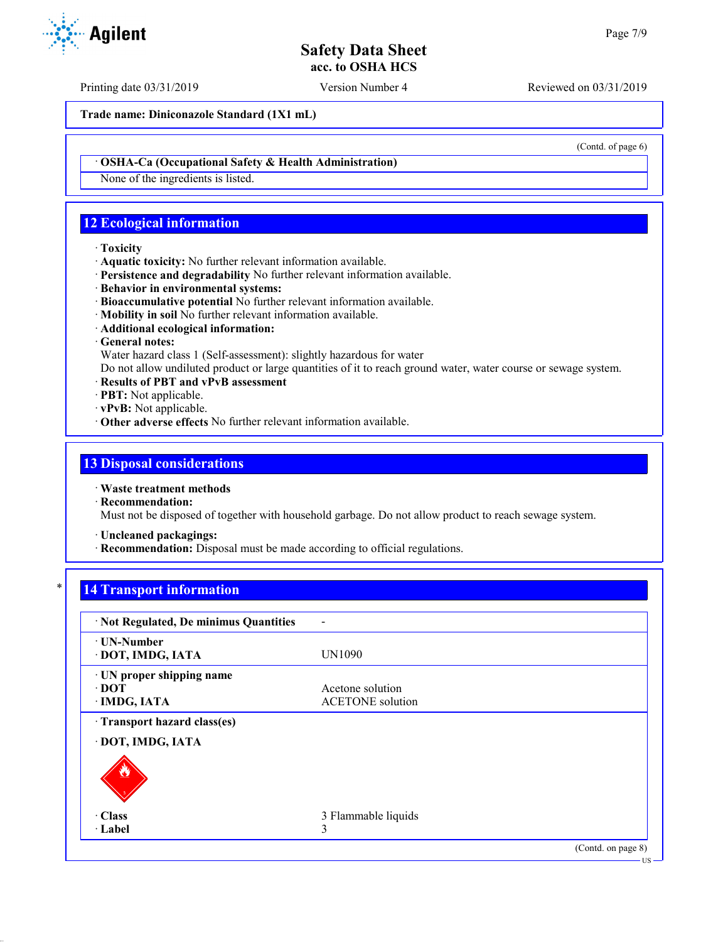Printing date 03/31/2019 Version Number 4 Reviewed on 03/31/2019

(Contd. of page 6)

**Trade name: Diniconazole Standard (1X1 mL)**

· **OSHA-Ca (Occupational Safety & Health Administration)**

None of the ingredients is listed.

# **12 Ecological information**

### · **Toxicity**

- · **Aquatic toxicity:** No further relevant information available.
- · **Persistence and degradability** No further relevant information available.
- · **Behavior in environmental systems:**
- · **Bioaccumulative potential** No further relevant information available.
- · **Mobility in soil** No further relevant information available.
- · **Additional ecological information:**
- · **General notes:**

Water hazard class 1 (Self-assessment): slightly hazardous for water

Do not allow undiluted product or large quantities of it to reach ground water, water course or sewage system.

- · **Results of PBT and vPvB assessment**
- · **PBT:** Not applicable.
- · **vPvB:** Not applicable.
- · **Other adverse effects** No further relevant information available.

## **13 Disposal considerations**

· **Waste treatment methods**

· **Recommendation:**

Must not be disposed of together with household garbage. Do not allow product to reach sewage system.

· **Uncleaned packagings:**

· **Recommendation:** Disposal must be made according to official regulations.

# **14 Transport information**

| · Not Regulated, De minimus Quantities                   | $\blacksquare$                              |                    |
|----------------------------------------------------------|---------------------------------------------|--------------------|
| <b>⋅ UN-Number</b><br>· DOT, IMDG, IATA                  | UN1090                                      |                    |
| · UN proper shipping name<br>$\cdot$ DOT<br>· IMDG, IATA | Acetone solution<br><b>ACETONE</b> solution |                    |
| Transport hazard class(es)                               |                                             |                    |
| · DOT, IMDG, IATA                                        |                                             |                    |
|                                                          |                                             |                    |
| $\cdot$ Class                                            | 3 Flammable liquids                         |                    |
| · Label                                                  | 3                                           |                    |
|                                                          |                                             | (Contd. on page 8) |
|                                                          |                                             | $US -$             |

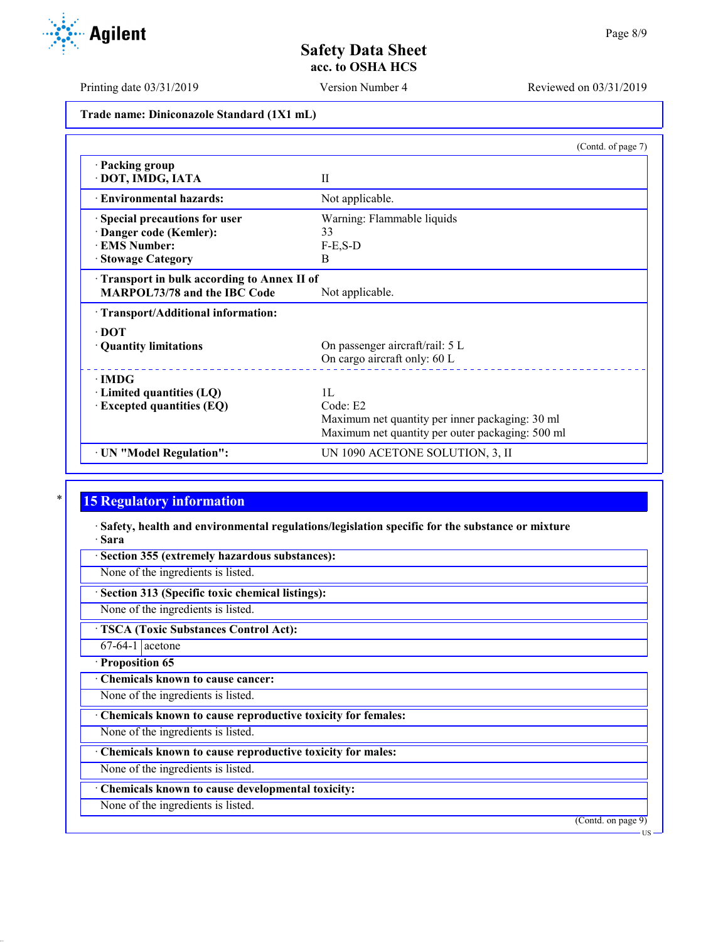Printing date 03/31/2019 Version Number 4 Reviewed on 03/31/2019

**Trade name: Diniconazole Standard (1X1 mL)**

|                                            | (Contd. of page 7)                               |  |
|--------------------------------------------|--------------------------------------------------|--|
| · Packing group<br>· DOT, IMDG, IATA       | $\mathbf{H}$                                     |  |
| · Environmental hazards:                   | Not applicable.                                  |  |
| Special precautions for user               | Warning: Flammable liquids                       |  |
| Danger code (Kemler):                      | 33                                               |  |
| <b>EMS Number:</b>                         | $F-E$ , $S-D$                                    |  |
| <b>Stowage Category</b>                    | <sub>B</sub>                                     |  |
| Transport in bulk according to Annex II of |                                                  |  |
| <b>MARPOL73/78 and the IBC Code</b>        | Not applicable.                                  |  |
| · Transport/Additional information:        |                                                  |  |
| $\cdot$ DOT                                |                                                  |  |
| · Quantity limitations                     | On passenger aircraft/rail: 5 L                  |  |
|                                            | On cargo aircraft only: 60 L                     |  |
| $\cdot$ IMDG                               |                                                  |  |
| $\cdot$ Limited quantities (LQ)            | 1L                                               |  |
| · Excepted quantities (EQ)                 | Code: E2                                         |  |
|                                            | Maximum net quantity per inner packaging: 30 ml  |  |
|                                            | Maximum net quantity per outer packaging: 500 ml |  |
| · UN "Model Regulation":                   | UN 1090 ACETONE SOLUTION, 3, II                  |  |

# **15 Regulatory information**

· **Safety, health and environmental regulations/legislation specific for the substance or mixture** · **Sara**

· **Section 355 (extremely hazardous substances):**

None of the ingredients is listed.

· **Section 313 (Specific toxic chemical listings):**

None of the ingredients is listed.

· **TSCA (Toxic Substances Control Act):**

 $67-64-1$  acetone

· **Proposition 65**

· **Chemicals known to cause cancer:**

None of the ingredients is listed.

· **Chemicals known to cause reproductive toxicity for females:**

None of the ingredients is listed.

· **Chemicals known to cause reproductive toxicity for males:**

None of the ingredients is listed.

· **Chemicals known to cause developmental toxicity:**

None of the ingredients is listed.

(Contd. on page 9)

**Agilent**